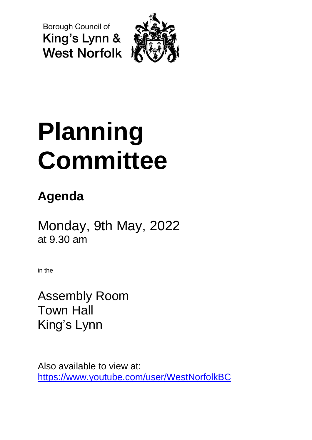**Borough Council of** King's Lynn & **West Norfolk** 



# **Planning Committee**

## **Agenda**

Monday, 9th May, 2022 at 9.30 am

in the

Assembly Room Town Hall King's Lynn

Also available to view at: <https://www.youtube.com/user/WestNorfolkBC>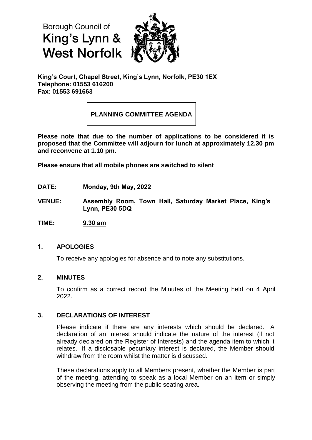**Borough Council of** King's Lynn & **West Norfolk** 



**King's Court, Chapel Street, King's Lynn, Norfolk, PE30 1EX Telephone: 01553 616200 Fax: 01553 691663**

### **PLANNING COMMITTEE AGENDA**

**Please note that due to the number of applications to be considered it is proposed that the Committee will adjourn for lunch at approximately 12.30 pm and reconvene at 1.10 pm.**

**Please ensure that all mobile phones are switched to silent**

- **DATE: Monday, 9th May, 2022**
- **VENUE: Assembly Room, Town Hall, Saturday Market Place, King's Lynn, PE30 5DQ**
- **TIME: 9.30 am**

#### **1. APOLOGIES**

To receive any apologies for absence and to note any substitutions.

#### **2. MINUTES**

To confirm as a correct record the Minutes of the Meeting held on 4 April 2022.

#### **3. DECLARATIONS OF INTEREST**

Please indicate if there are any interests which should be declared. A declaration of an interest should indicate the nature of the interest (if not already declared on the Register of Interests) and the agenda item to which it relates. If a disclosable pecuniary interest is declared, the Member should withdraw from the room whilst the matter is discussed.

These declarations apply to all Members present, whether the Member is part of the meeting, attending to speak as a local Member on an item or simply observing the meeting from the public seating area.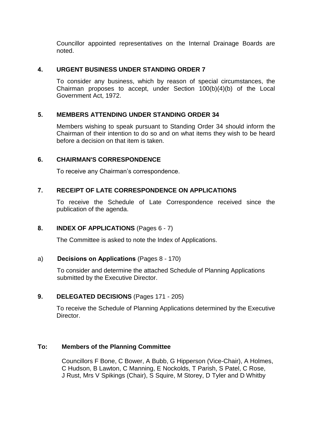Councillor appointed representatives on the Internal Drainage Boards are noted.

#### **4. URGENT BUSINESS UNDER STANDING ORDER 7**

To consider any business, which by reason of special circumstances, the Chairman proposes to accept, under Section 100(b)(4)(b) of the Local Government Act, 1972.

#### **5. MEMBERS ATTENDING UNDER STANDING ORDER 34**

Members wishing to speak pursuant to Standing Order 34 should inform the Chairman of their intention to do so and on what items they wish to be heard before a decision on that item is taken.

#### **6. CHAIRMAN'S CORRESPONDENCE**

To receive any Chairman's correspondence.

#### **7. RECEIPT OF LATE CORRESPONDENCE ON APPLICATIONS**

To receive the Schedule of Late Correspondence received since the publication of the agenda.

#### **8. INDEX OF APPLICATIONS** (Pages 6 - 7)

The Committee is asked to note the Index of Applications.

#### a) **Decisions on Applications** (Pages 8 - 170)

 To consider and determine the attached Schedule of Planning Applications submitted by the Executive Director.

#### **9. DELEGATED DECISIONS** (Pages 171 - 205)

To receive the Schedule of Planning Applications determined by the Executive Director.

#### **To: Members of the Planning Committee**

Councillors F Bone, C Bower, A Bubb, G Hipperson (Vice-Chair), A Holmes, C Hudson, B Lawton, C Manning, E Nockolds, T Parish, S Patel, C Rose, J Rust, Mrs V Spikings (Chair), S Squire, M Storey, D Tyler and D Whitby